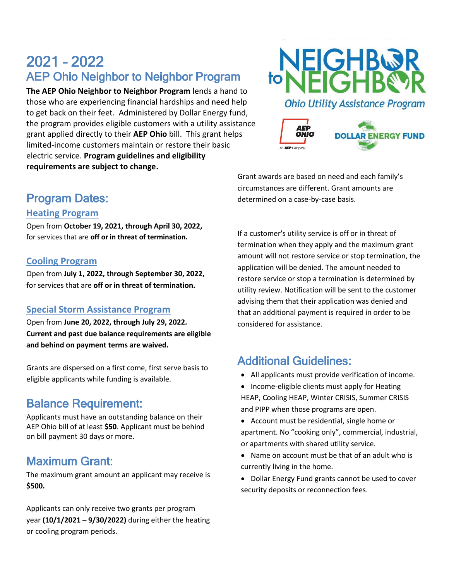# 2021 – 2022 AEP Ohio Neighbor to Neighbor Program

**The AEP Ohio Neighbor to Neighbor Program** lends a hand to those who are experiencing financial hardships and need help to get back on their feet. Administered by Dollar Energy fund, the program provides eligible customers with a utility assistance grant applied directly to their **AEP Ohio** bill. This grant helps limited-income customers maintain or restore their basic electric service. **Program guidelines and eligibility requirements are subject to change.**





Program Dates:

#### **Heating Program**

Open from **October 19, 2021, through April 30, 2022,**  for services that are **off or in threat of termination.**

#### **Cooling Program**

Open from **July 1, 2022, through September 30, 2022,**  for services that are **off or in threat of termination.**

### **Special Storm Assistance Program**

Open from **June 20, 2022, through July 29, 2022. Current and past due balance requirements are eligible and behind on payment terms are waived.**

Grants are dispersed on a first come, first serve basis to eligible applicants while funding is available.

### Balance Requirement:

Applicants must have an outstanding balance on their AEP Ohio bill of at least **\$50**. Applicant must be behind on bill payment 30 days or more.

### Maximum Grant:

The maximum grant amount an applicant may receive is **\$500.**

Applicants can only receive two grants per program year **(10/1/2021 – 9/30/2022)** during either the heating or cooling program periods.

Grant awards are based on need and each family's circumstances are different. Grant amounts are determined on a case-by-case basis.

If a customer's utility service is off or in threat of termination when they apply and the maximum grant amount will not restore service or stop termination, the application will be denied. The amount needed to restore service or stop a termination is determined by utility review. Notification will be sent to the customer advising them that their application was denied and that an additional payment is required in order to be considered for assistance.

# Additional Guidelines:

- All applicants must provide verification of income.
- Income-eligible clients must apply for Heating HEAP, Cooling HEAP, Winter CRISIS, Summer CRISIS and PIPP when those programs are open.
- Account must be residential, single home or apartment. No "cooking only", commercial, industrial, or apartments with shared utility service.
- Name on account must be that of an adult who is currently living in the home.
- Dollar Energy Fund grants cannot be used to cover security deposits or reconnection fees.